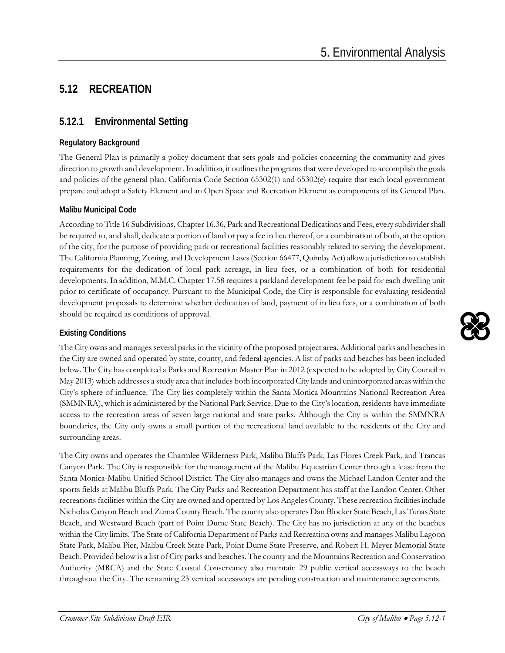# **5.12 RECREATION**

# **5.12.1 Environmental Setting**

### **Regulatory Background**

The General Plan is primarily a policy document that sets goals and policies concerning the community and gives direction to growth and development. In addition, it outlines the programs that were developed to accomplish the goals and policies of the general plan. California Code Section 65302(1) and 65302(e) require that each local government prepare and adopt a Safety Element and an Open Space and Recreation Element as components of its General Plan.

### **Malibu Municipal Code**

According to Title 16 Subdivisions, Chapter 16.36, Park and Recreational Dedications and Fees, every subdivider shall be required to, and shall, dedicate a portion of land or pay a fee in lieu thereof, or a combination of both, at the option of the city, for the purpose of providing park or recreational facilities reasonably related to serving the development. The California Planning, Zoning, and Development Laws (Section 66477, Quimby Act) allow a jurisdiction to establish requirements for the dedication of local park acreage, in lieu fees, or a combination of both for residential developments. In addition, M.M.C. Chapter 17.58 requires a parkland development fee be paid for each dwelling unit prior to certificate of occupancy. Pursuant to the Municipal Code, the City is responsible for evaluating residential development proposals to determine whether dedication of land, payment of in lieu fees, or a combination of both should be required as conditions of approval.

### **Existing Conditions**

The City owns and manages several parks in the vicinity of the proposed project area. Additional parks and beaches in the City are owned and operated by state, county, and federal agencies. A list of parks and beaches has been included below. The City has completed a Parks and Recreation Master Plan in 2012 (expected to be adopted by City Council in May 2013) which addresses a study area that includes both incorporated City lands and unincorporated areas within the City's sphere of influence. The City lies completely within the Santa Monica Mountains National Recreation Area (SMMNRA), which is administered by the National Park Service. Due to the City's location, residents have immediate access to the recreation areas of seven large national and state parks. Although the City is within the SMMNRA boundaries, the City only owns a small portion of the recreational land available to the residents of the City and surrounding areas.

The City owns and operates the Charmlee Wilderness Park, Malibu Bluffs Park, Las Flores Creek Park, and Trancas Canyon Park. The City is responsible for the management of the Malibu Equestrian Center through a lease from the Santa Monica-Malibu Unified School District. The City also manages and owns the Michael Landon Center and the sports fields at Malibu Bluffs Park. The City Parks and Recreation Department has staff at the Landon Center. Other recreations facilities within the City are owned and operated by Los Angeles County. These recreation facilities include Nicholas Canyon Beach and Zuma County Beach. The county also operates Dan Blocker State Beach, Las Tunas State Beach, and Westward Beach (part of Point Dume State Beach). The City has no jurisdiction at any of the beaches within the City limits. The State of California Department of Parks and Recreation owns and manages Malibu Lagoon State Park, Malibu Pier, Malibu Creek State Park, Point Dume State Preserve, and Robert H. Meyer Memorial State Beach. Provided below is a list of City parks and beaches. The county and the Mountains Recreation and Conservation Authority (MRCA) and the State Coastal Conservancy also maintain 29 public vertical accessways to the beach throughout the City. The remaining 23 vertical accessways are pending construction and maintenance agreements.

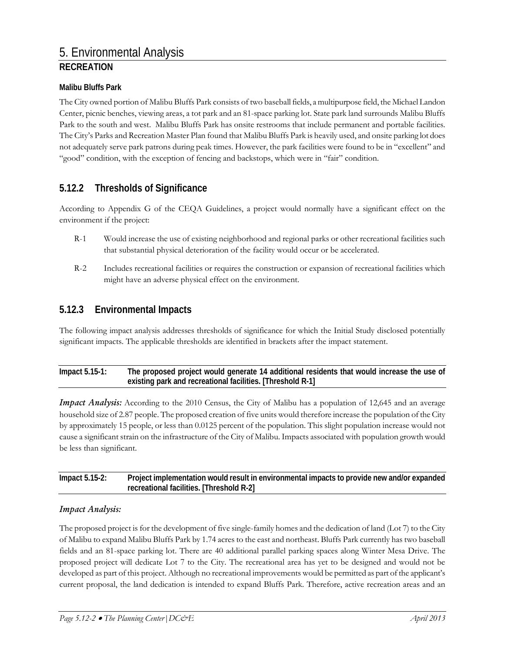#### **Malibu Bluffs Park**

The City owned portion of Malibu Bluffs Park consists of two baseball fields, a multipurpose field, the Michael Landon Center, picnic benches, viewing areas, a tot park and an 81-space parking lot. State park land surrounds Malibu Bluffs Park to the south and west. Malibu Bluffs Park has onsite restrooms that include permanent and portable facilities. The City's Parks and Recreation Master Plan found that Malibu Bluffs Park is heavily used, and onsite parking lot does not adequately serve park patrons during peak times. However, the park facilities were found to be in "excellent" and "good" condition, with the exception of fencing and backstops, which were in "fair" condition.

### **5.12.2 Thresholds of Significance**

According to Appendix G of the CEQA Guidelines, a project would normally have a significant effect on the environment if the project:

- R-1 Would increase the use of existing neighborhood and regional parks or other recreational facilities such that substantial physical deterioration of the facility would occur or be accelerated.
- R-2 Includes recreational facilities or requires the construction or expansion of recreational facilities which might have an adverse physical effect on the environment.

### **5.12.3 Environmental Impacts**

The following impact analysis addresses thresholds of significance for which the Initial Study disclosed potentially significant impacts. The applicable thresholds are identified in brackets after the impact statement.

| Impact $5.15-1$ : | The proposed project would generate 14 additional residents that would increase the use of |
|-------------------|--------------------------------------------------------------------------------------------|
|                   | existing park and recreational facilities. [Threshold R-1]                                 |

*Impact Analysis:* According to the 2010 Census, the City of Malibu has a population of 12,645 and an average household size of 2.87 people. The proposed creation of five units would therefore increase the population of the City by approximately 15 people, or less than 0.0125 percent of the population. This slight population increase would not cause a significant strain on the infrastructure of the City of Malibu. Impacts associated with population growth would be less than significant.

| Impact $5.15-2$ : | Project implementation would result in environmental impacts to provide new and/or expanded |
|-------------------|---------------------------------------------------------------------------------------------|
|                   | recreational facilities. [Threshold R-2]                                                    |

#### *Impact Analysis:*

The proposed project is for the development of five single-family homes and the dedication of land (Lot 7) to the City of Malibu to expand Malibu Bluffs Park by 1.74 acres to the east and northeast. Bluffs Park currently has two baseball fields and an 81-space parking lot. There are 40 additional parallel parking spaces along Winter Mesa Drive. The proposed project will dedicate Lot 7 to the City. The recreational area has yet to be designed and would not be developed as part of this project. Although no recreational improvements would be permitted as part of the applicant's current proposal, the land dedication is intended to expand Bluffs Park. Therefore, active recreation areas and an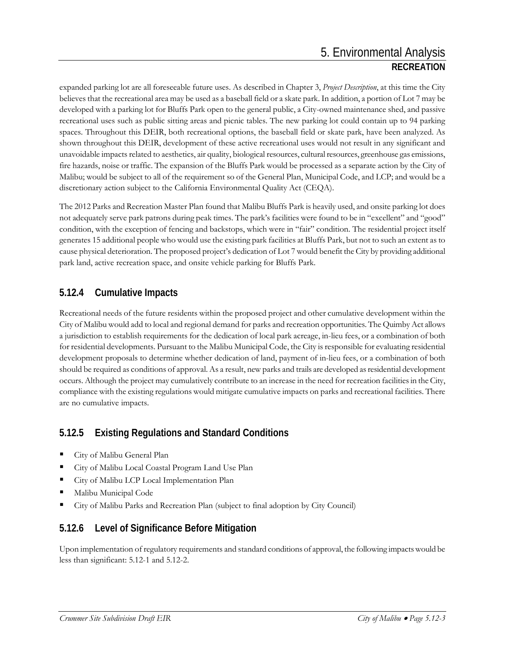expanded parking lot are all foreseeable future uses. As described in Chapter 3, *Project Description*, at this time the City believes that the recreational area may be used as a baseball field or a skate park. In addition, a portion of Lot 7 may be developed with a parking lot for Bluffs Park open to the general public, a City-owned maintenance shed, and passive recreational uses such as public sitting areas and picnic tables. The new parking lot could contain up to 94 parking spaces. Throughout this DEIR, both recreational options, the baseball field or skate park, have been analyzed. As shown throughout this DEIR, development of these active recreational uses would not result in any significant and unavoidable impacts related to aesthetics, air quality, biological resources, cultural resources, greenhouse gas emissions, fire hazards, noise or traffic. The expansion of the Bluffs Park would be processed as a separate action by the City of Malibu; would be subject to all of the requirement so of the General Plan, Municipal Code, and LCP; and would be a discretionary action subject to the California Environmental Quality Act (CEQA).

The 2012 Parks and Recreation Master Plan found that Malibu Bluffs Park is heavily used, and onsite parking lot does not adequately serve park patrons during peak times. The park's facilities were found to be in "excellent" and "good" condition, with the exception of fencing and backstops, which were in "fair" condition. The residential project itself generates 15 additional people who would use the existing park facilities at Bluffs Park, but not to such an extent as to cause physical deterioration. The proposed project's dedication of Lot 7 would benefit the City by providing additional park land, active recreation space, and onsite vehicle parking for Bluffs Park.

## **5.12.4 Cumulative Impacts**

Recreational needs of the future residents within the proposed project and other cumulative development within the City of Malibu would add to local and regional demand for parks and recreation opportunities. The Quimby Act allows a jurisdiction to establish requirements for the dedication of local park acreage, in-lieu fees, or a combination of both for residential developments. Pursuant to the Malibu Municipal Code, the City is responsible for evaluating residential development proposals to determine whether dedication of land, payment of in-lieu fees, or a combination of both should be required as conditions of approval. As a result, new parks and trails are developed as residential development occurs. Although the project may cumulatively contribute to an increase in the need for recreation facilities in the City, compliance with the existing regulations would mitigate cumulative impacts on parks and recreational facilities. There are no cumulative impacts.

# **5.12.5 Existing Regulations and Standard Conditions**

- City of Malibu General Plan
- City of Malibu Local Coastal Program Land Use Plan
- City of Malibu LCP Local Implementation Plan
- Malibu Municipal Code
- City of Malibu Parks and Recreation Plan (subject to final adoption by City Council)

# **5.12.6 Level of Significance Before Mitigation**

Upon implementation of regulatory requirements and standard conditions of approval, the following impacts would be less than significant: 5.12-1 and 5.12-2.